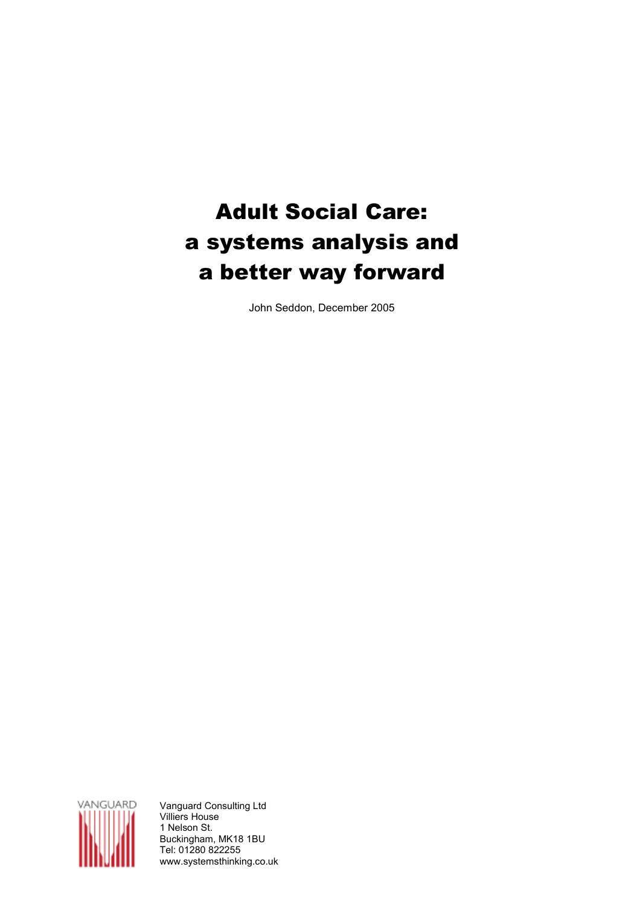# Adult Social Care: a systems analysis and a better way forward

John Seddon, December 2005



Vanguard Consulting Ltd Villiers House 1 Nelson St. Buckingham, MK18 1BU Tel: 01280 822255 www.systemsthinking.co.uk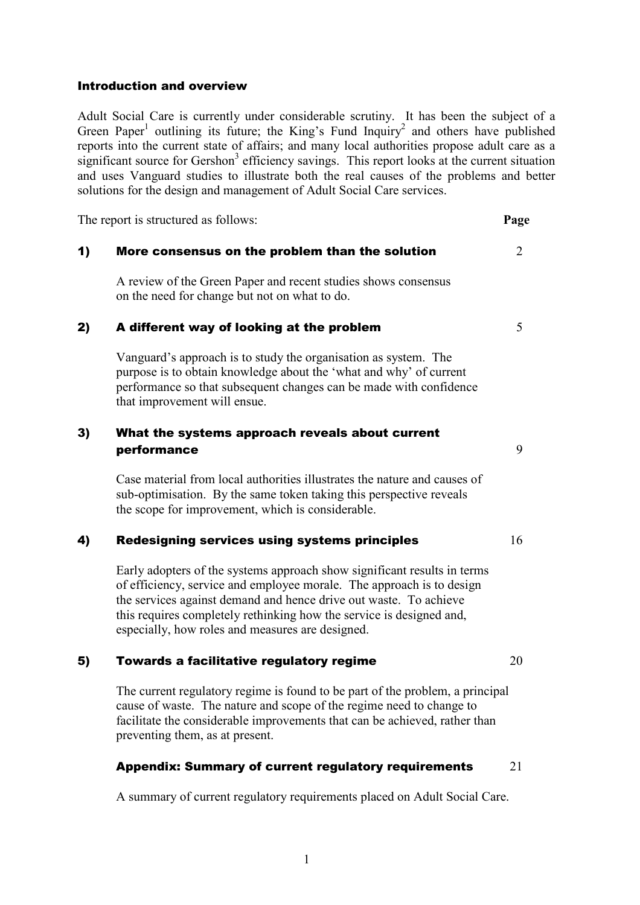#### Introduction and overview

Adult Social Care is currently under considerable scrutiny. It has been the subject of a Green Paper<sup>1</sup> outlining its future; the King's Fund Inquiry<sup>2</sup> and others have published reports into the current state of affairs; and many local authorities propose adult care as a significant source for Gershon<sup>3</sup> efficiency savings. This report looks at the current situation and uses Vanguard studies to illustrate both the real causes of the problems and better solutions for the design and management of Adult Social Care services.

The report is structured as follows: **Page** 

#### 1) More consensus on the problem than the solution  $2$

A review of the Green Paper and recent studies shows consensus on the need for change but not on what to do.

#### 2) A different way of looking at the problem  $5\frac{1}{5}$

Vanguard's approach is to study the organisation as system. The purpose is to obtain knowledge about the 'what and why' of current performance so that subsequent changes can be made with confidence that improvement will ensue.

# 3) What the systems approach reveals about current performance 9

Case material from local authorities illustrates the nature and causes of sub-optimisation. By the same token taking this perspective reveals the scope for improvement, which is considerable.

#### 4) Redesigning services using systems principles  $16$

Early adopters of the systems approach show significant results in terms of efficiency, service and employee morale. The approach is to design the services against demand and hence drive out waste. To achieve this requires completely rethinking how the service is designed and, especially, how roles and measures are designed.

#### 5) Towards a facilitative regulatory regime  $20$

The current regulatory regime is found to be part of the problem, a principal cause of waste. The nature and scope of the regime need to change to facilitate the considerable improvements that can be achieved, rather than preventing them, as at present.

#### Appendix: Summary of current regulatory requirements 21

A summary of current regulatory requirements placed on Adult Social Care.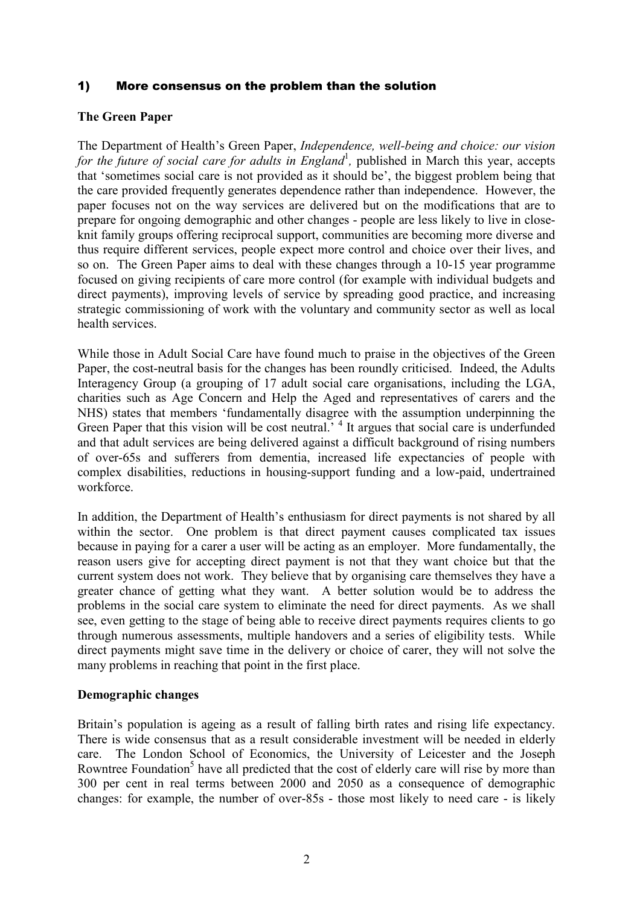# 1) More consensus on the problem than the solution

# The Green Paper

The Department of Health's Green Paper, Independence, well-being and choice: our vision for the future of social care for adults in England<sup>1</sup>, published in March this year, accepts that 'sometimes social care is not provided as it should be', the biggest problem being that the care provided frequently generates dependence rather than independence. However, the paper focuses not on the way services are delivered but on the modifications that are to prepare for ongoing demographic and other changes - people are less likely to live in closeknit family groups offering reciprocal support, communities are becoming more diverse and thus require different services, people expect more control and choice over their lives, and so on. The Green Paper aims to deal with these changes through a 10-15 year programme focused on giving recipients of care more control (for example with individual budgets and direct payments), improving levels of service by spreading good practice, and increasing strategic commissioning of work with the voluntary and community sector as well as local health services.

While those in Adult Social Care have found much to praise in the objectives of the Green Paper, the cost-neutral basis for the changes has been roundly criticised. Indeed, the Adults Interagency Group (a grouping of 17 adult social care organisations, including the LGA, charities such as Age Concern and Help the Aged and representatives of carers and the NHS) states that members 'fundamentally disagree with the assumption underpinning the Green Paper that this vision will be cost neutral.<sup>4</sup> It argues that social care is underfunded and that adult services are being delivered against a difficult background of rising numbers of over-65s and sufferers from dementia, increased life expectancies of people with complex disabilities, reductions in housing-support funding and a low-paid, undertrained workforce.

In addition, the Department of Health's enthusiasm for direct payments is not shared by all within the sector. One problem is that direct payment causes complicated tax issues because in paying for a carer a user will be acting as an employer. More fundamentally, the reason users give for accepting direct payment is not that they want choice but that the current system does not work. They believe that by organising care themselves they have a greater chance of getting what they want. A better solution would be to address the problems in the social care system to eliminate the need for direct payments. As we shall see, even getting to the stage of being able to receive direct payments requires clients to go through numerous assessments, multiple handovers and a series of eligibility tests. While direct payments might save time in the delivery or choice of carer, they will not solve the many problems in reaching that point in the first place.

#### Demographic changes

Britain's population is ageing as a result of falling birth rates and rising life expectancy. There is wide consensus that as a result considerable investment will be needed in elderly care. The London School of Economics, the University of Leicester and the Joseph Rowntree Foundation<sup>5</sup> have all predicted that the cost of elderly care will rise by more than 300 per cent in real terms between 2000 and 2050 as a consequence of demographic changes: for example, the number of over-85s - those most likely to need care - is likely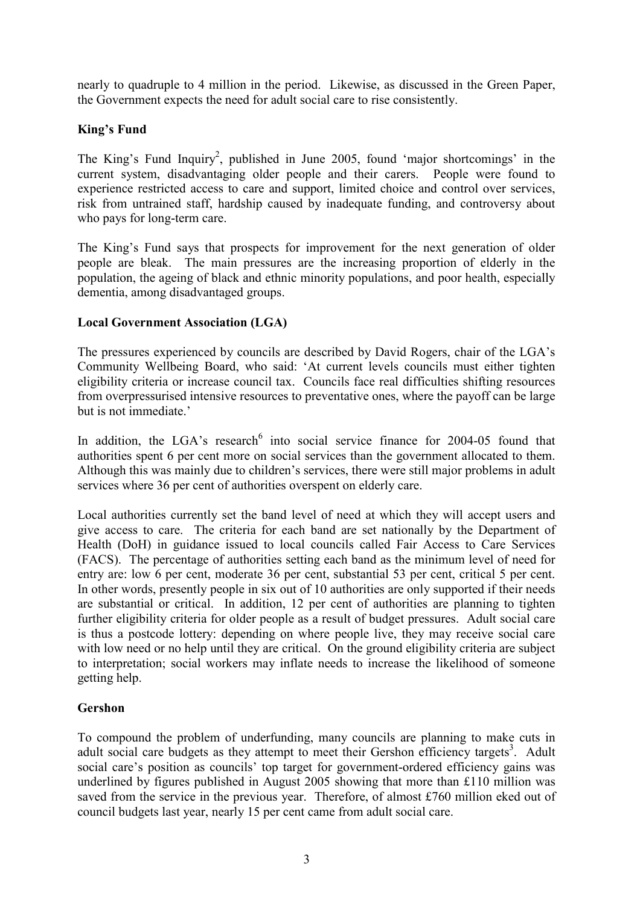nearly to quadruple to 4 million in the period. Likewise, as discussed in the Green Paper, the Government expects the need for adult social care to rise consistently.

# King's Fund

The King's Fund Inquiry<sup>2</sup>, published in June 2005, found 'major shortcomings' in the current system, disadvantaging older people and their carers. People were found to experience restricted access to care and support, limited choice and control over services, risk from untrained staff, hardship caused by inadequate funding, and controversy about who pays for long-term care.

The King's Fund says that prospects for improvement for the next generation of older people are bleak. The main pressures are the increasing proportion of elderly in the population, the ageing of black and ethnic minority populations, and poor health, especially dementia, among disadvantaged groups.

# Local Government Association (LGA)

The pressures experienced by councils are described by David Rogers, chair of the LGA's Community Wellbeing Board, who said: 'At current levels councils must either tighten eligibility criteria or increase council tax. Councils face real difficulties shifting resources from overpressurised intensive resources to preventative ones, where the payoff can be large but is not immediate.'

In addition, the LGA's research<sup>6</sup> into social service finance for 2004-05 found that authorities spent 6 per cent more on social services than the government allocated to them. Although this was mainly due to children's services, there were still major problems in adult services where 36 per cent of authorities overspent on elderly care.

Local authorities currently set the band level of need at which they will accept users and give access to care. The criteria for each band are set nationally by the Department of Health (DoH) in guidance issued to local councils called Fair Access to Care Services (FACS). The percentage of authorities setting each band as the minimum level of need for entry are: low 6 per cent, moderate 36 per cent, substantial 53 per cent, critical 5 per cent. In other words, presently people in six out of 10 authorities are only supported if their needs are substantial or critical. In addition, 12 per cent of authorities are planning to tighten further eligibility criteria for older people as a result of budget pressures. Adult social care is thus a postcode lottery: depending on where people live, they may receive social care with low need or no help until they are critical. On the ground eligibility criteria are subject to interpretation; social workers may inflate needs to increase the likelihood of someone getting help.

# Gershon

To compound the problem of underfunding, many councils are planning to make cuts in adult social care budgets as they attempt to meet their Gershon efficiency targets<sup>3</sup>. Adult social care's position as councils' top target for government-ordered efficiency gains was underlined by figures published in August 2005 showing that more than £110 million was saved from the service in the previous year. Therefore, of almost £760 million eked out of council budgets last year, nearly 15 per cent came from adult social care.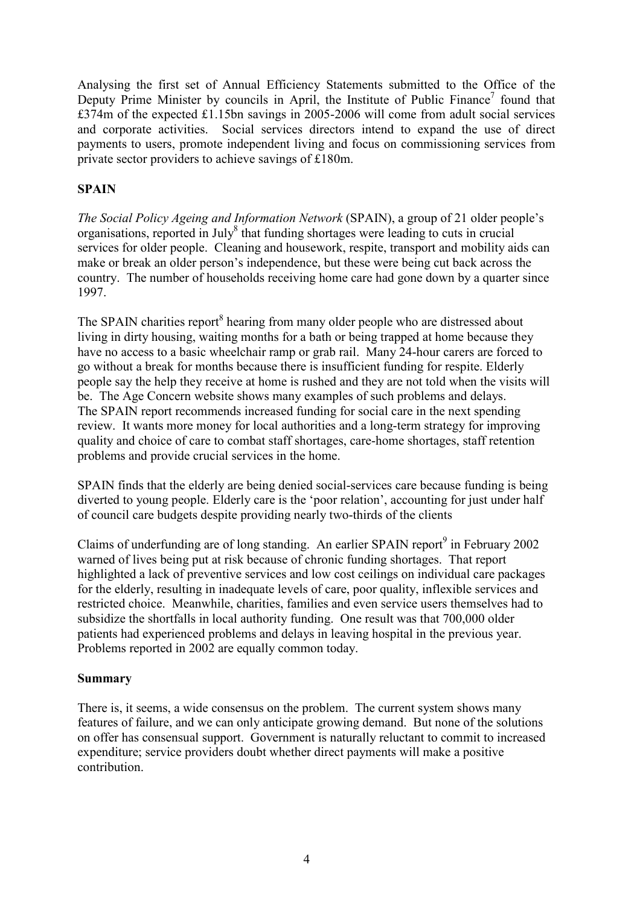Analysing the first set of Annual Efficiency Statements submitted to the Office of the Deputy Prime Minister by councils in April, the Institute of Public Finance<sup>7</sup> found that £374m of the expected £1.15bn savings in 2005-2006 will come from adult social services and corporate activities. Social services directors intend to expand the use of direct payments to users, promote independent living and focus on commissioning services from private sector providers to achieve savings of £180m.

# SPAIN

The Social Policy Ageing and Information Network (SPAIN), a group of 21 older people's organisations, reported in July<sup>8</sup> that funding shortages were leading to cuts in crucial services for older people. Cleaning and housework, respite, transport and mobility aids can make or break an older person's independence, but these were being cut back across the country. The number of households receiving home care had gone down by a quarter since 1997.

The SPAIN charities report<sup>8</sup> hearing from many older people who are distressed about living in dirty housing, waiting months for a bath or being trapped at home because they have no access to a basic wheelchair ramp or grab rail. Many 24-hour carers are forced to go without a break for months because there is insufficient funding for respite. Elderly people say the help they receive at home is rushed and they are not told when the visits will be. The Age Concern website shows many examples of such problems and delays. The SPAIN report recommends increased funding for social care in the next spending review. It wants more money for local authorities and a long-term strategy for improving quality and choice of care to combat staff shortages, care-home shortages, staff retention problems and provide crucial services in the home.

SPAIN finds that the elderly are being denied social-services care because funding is being diverted to young people. Elderly care is the 'poor relation', accounting for just under half of council care budgets despite providing nearly two-thirds of the clients

Claims of underfunding are of long standing. An earlier SPAIN report $9$  in February 2002 warned of lives being put at risk because of chronic funding shortages. That report highlighted a lack of preventive services and low cost ceilings on individual care packages for the elderly, resulting in inadequate levels of care, poor quality, inflexible services and restricted choice. Meanwhile, charities, families and even service users themselves had to subsidize the shortfalls in local authority funding. One result was that 700,000 older patients had experienced problems and delays in leaving hospital in the previous year. Problems reported in 2002 are equally common today.

# Summary

There is, it seems, a wide consensus on the problem. The current system shows many features of failure, and we can only anticipate growing demand. But none of the solutions on offer has consensual support. Government is naturally reluctant to commit to increased expenditure; service providers doubt whether direct payments will make a positive contribution.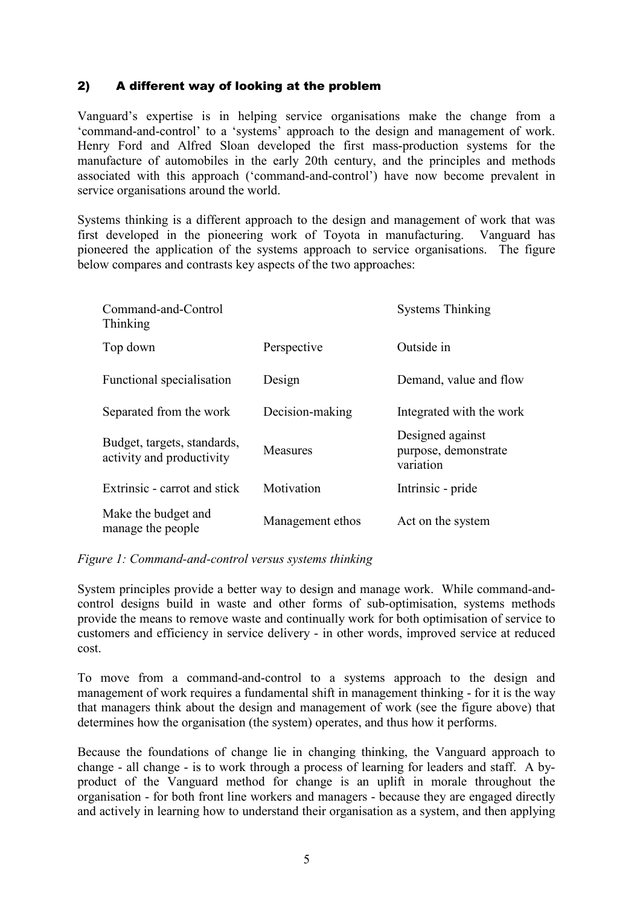# 2) A different way of looking at the problem

Vanguard's expertise is in helping service organisations make the change from a 'command-and-control' to a 'systems' approach to the design and management of work. Henry Ford and Alfred Sloan developed the first mass-production systems for the manufacture of automobiles in the early 20th century, and the principles and methods associated with this approach ('command-and-control') have now become prevalent in service organisations around the world.

Systems thinking is a different approach to the design and management of work that was first developed in the pioneering work of Toyota in manufacturing. Vanguard has pioneered the application of the systems approach to service organisations. The figure below compares and contrasts key aspects of the two approaches:

| Command-and-Control<br>Thinking                          |                  | <b>Systems Thinking</b>                               |
|----------------------------------------------------------|------------------|-------------------------------------------------------|
| Top down                                                 | Perspective      | Outside in                                            |
| Functional specialisation                                | Design           | Demand, value and flow                                |
| Separated from the work                                  | Decision-making  | Integrated with the work                              |
| Budget, targets, standards,<br>activity and productivity | <b>Measures</b>  | Designed against<br>purpose, demonstrate<br>variation |
| Extrinsic - carrot and stick                             | Motivation       | Intrinsic - pride                                     |
| Make the budget and<br>manage the people                 | Management ethos | Act on the system                                     |

#### Figure 1: Command-and-control versus systems thinking

System principles provide a better way to design and manage work. While command-andcontrol designs build in waste and other forms of sub-optimisation, systems methods provide the means to remove waste and continually work for both optimisation of service to customers and efficiency in service delivery - in other words, improved service at reduced cost.

To move from a command-and-control to a systems approach to the design and management of work requires a fundamental shift in management thinking - for it is the way that managers think about the design and management of work (see the figure above) that determines how the organisation (the system) operates, and thus how it performs.

Because the foundations of change lie in changing thinking, the Vanguard approach to change - all change - is to work through a process of learning for leaders and staff. A byproduct of the Vanguard method for change is an uplift in morale throughout the organisation - for both front line workers and managers - because they are engaged directly and actively in learning how to understand their organisation as a system, and then applying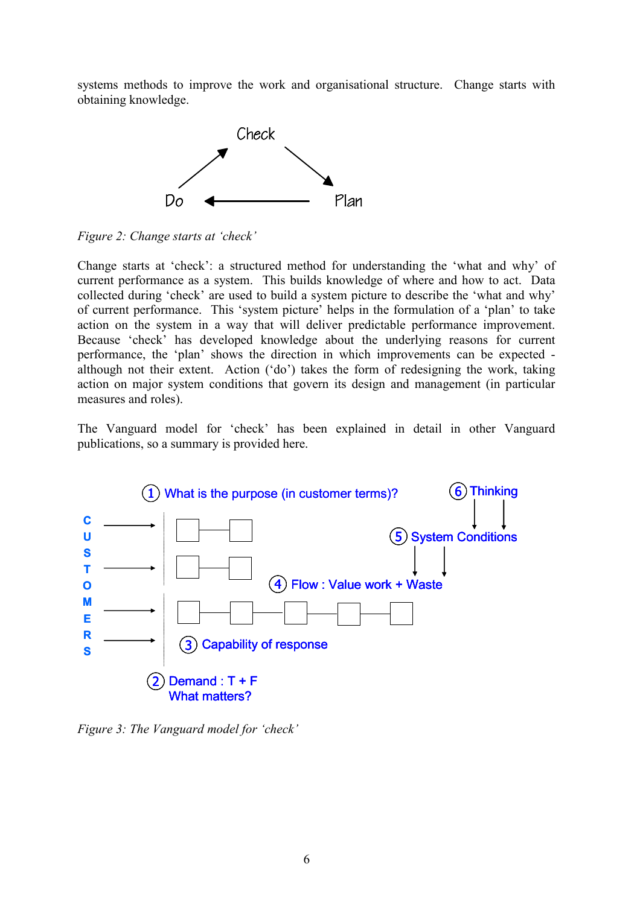systems methods to improve the work and organisational structure. Change starts with obtaining knowledge.





Change starts at 'check': a structured method for understanding the 'what and why' of current performance as a system. This builds knowledge of where and how to act. Data collected during 'check' are used to build a system picture to describe the 'what and why' of current performance. This 'system picture' helps in the formulation of a 'plan' to take action on the system in a way that will deliver predictable performance improvement. Because 'check' has developed knowledge about the underlying reasons for current performance, the 'plan' shows the direction in which improvements can be expected although not their extent. Action ('do') takes the form of redesigning the work, taking action on major system conditions that govern its design and management (in particular measures and roles).

The Vanguard model for 'check' has been explained in detail in other Vanguard publications, so a summary is provided here.



Figure 3: The Vanguard model for 'check'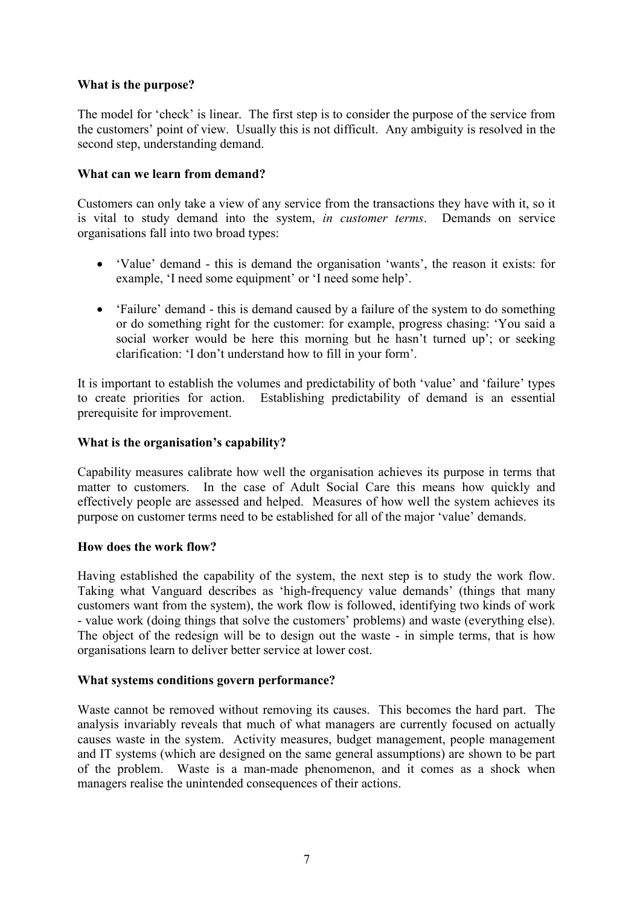# What is the purpose?

The model for 'check' is linear. The first step is to consider the purpose of the service from the customers' point of view. Usually this is not difficult. Any ambiguity is resolved in the second step, understanding demand.

# What can we learn from demand?

Customers can only take a view of any service from the transactions they have with it, so it is vital to study demand into the system, in customer terms. Demands on service organisations fall into two broad types:

- 'Value' demand this is demand the organisation 'wants', the reason it exists: for example, 'I need some equipment' or 'I need some help'.
- 'Failure' demand this is demand caused by a failure of the system to do something or do something right for the customer: for example, progress chasing: 'You said a social worker would be here this morning but he hasn't turned up'; or seeking clarification: 'I don't understand how to fill in your form'.

It is important to establish the volumes and predictability of both 'value' and 'failure' types to create priorities for action. Establishing predictability of demand is an essential prerequisite for improvement.

# What is the organisation's capability?

Capability measures calibrate how well the organisation achieves its purpose in terms that matter to customers. In the case of Adult Social Care this means how quickly and effectively people are assessed and helped. Measures of how well the system achieves its purpose on customer terms need to be established for all of the major 'value' demands.

#### How does the work flow?

Having established the capability of the system, the next step is to study the work flow. Taking what Vanguard describes as 'high-frequency value demands' (things that many customers want from the system), the work flow is followed, identifying two kinds of work - value work (doing things that solve the customers' problems) and waste (everything else). The object of the redesign will be to design out the waste - in simple terms, that is how organisations learn to deliver better service at lower cost.

#### What systems conditions govern performance?

Waste cannot be removed without removing its causes. This becomes the hard part. The analysis invariably reveals that much of what managers are currently focused on actually causes waste in the system. Activity measures, budget management, people management and IT systems (which are designed on the same general assumptions) are shown to be part of the problem. Waste is a man-made phenomenon, and it comes as a shock when managers realise the unintended consequences of their actions.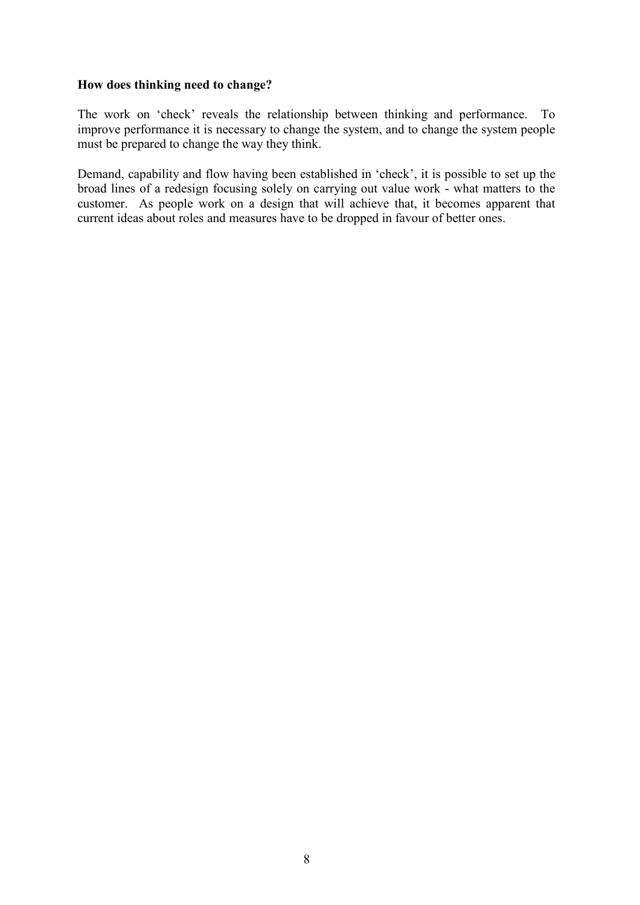#### How does thinking need to change?

The work on 'check' reveals the relationship between thinking and performance. To improve performance it is necessary to change the system, and to change the system people must be prepared to change the way they think.

Demand, capability and flow having been established in 'check', it is possible to set up the broad lines of a redesign focusing solely on carrying out value work - what matters to the customer. As people work on a design that will achieve that, it becomes apparent that current ideas about roles and measures have to be dropped in favour of better ones.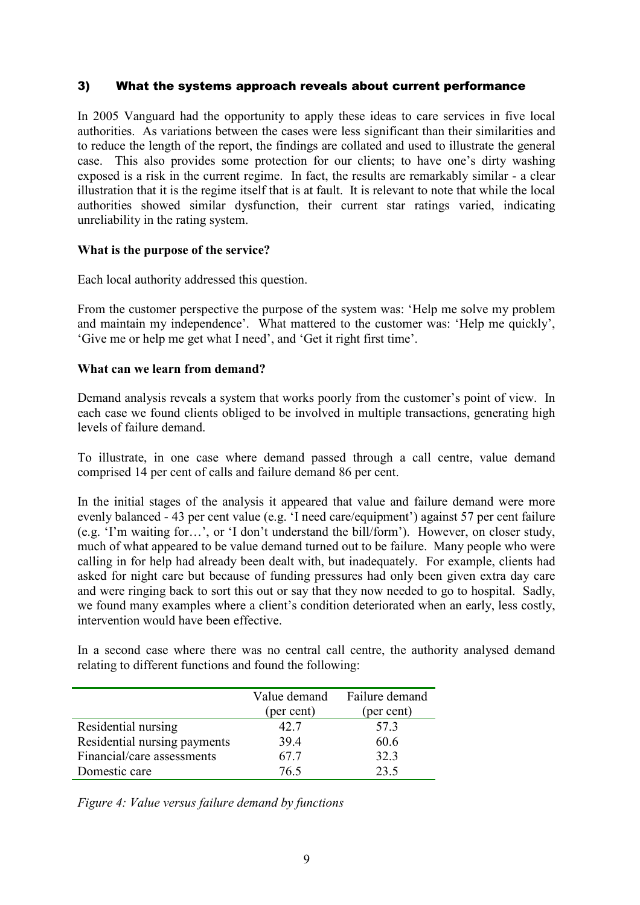# 3) What the systems approach reveals about current performance

In 2005 Vanguard had the opportunity to apply these ideas to care services in five local authorities. As variations between the cases were less significant than their similarities and to reduce the length of the report, the findings are collated and used to illustrate the general case. This also provides some protection for our clients; to have one's dirty washing exposed is a risk in the current regime. In fact, the results are remarkably similar - a clear illustration that it is the regime itself that is at fault. It is relevant to note that while the local authorities showed similar dysfunction, their current star ratings varied, indicating unreliability in the rating system.

#### What is the purpose of the service?

Each local authority addressed this question.

From the customer perspective the purpose of the system was: 'Help me solve my problem and maintain my independence'. What mattered to the customer was: 'Help me quickly', 'Give me or help me get what I need', and 'Get it right first time'.

# What can we learn from demand?

Demand analysis reveals a system that works poorly from the customer's point of view. In each case we found clients obliged to be involved in multiple transactions, generating high levels of failure demand.

To illustrate, in one case where demand passed through a call centre, value demand comprised 14 per cent of calls and failure demand 86 per cent.

In the initial stages of the analysis it appeared that value and failure demand were more evenly balanced - 43 per cent value (e.g. 'I need care/equipment') against 57 per cent failure (e.g. 'I'm waiting for…', or 'I don't understand the bill/form'). However, on closer study, much of what appeared to be value demand turned out to be failure. Many people who were calling in for help had already been dealt with, but inadequately. For example, clients had asked for night care but because of funding pressures had only been given extra day care and were ringing back to sort this out or say that they now needed to go to hospital. Sadly, we found many examples where a client's condition deteriorated when an early, less costly, intervention would have been effective.

In a second case where there was no central call centre, the authority analysed demand relating to different functions and found the following:

|                              | Value demand | Failure demand |
|------------------------------|--------------|----------------|
|                              | (per cent)   | (per cent)     |
| Residential nursing          | 42.7         | 57.3           |
| Residential nursing payments | 39.4         | 60.6           |
| Financial/care assessments   | 67.7         | 32.3           |
| Domestic care                | 76.5         | 23.5           |

Figure 4: Value versus failure demand by functions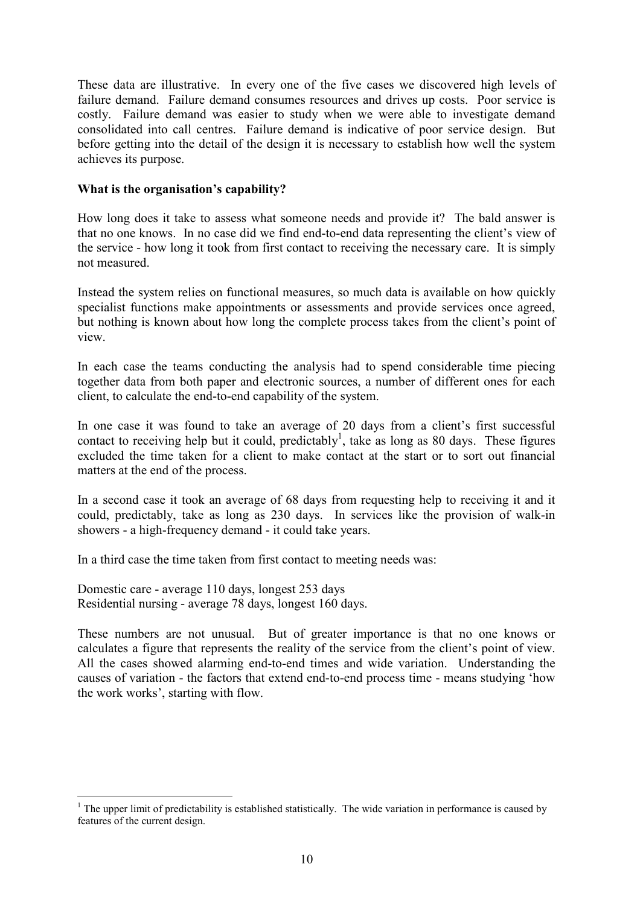These data are illustrative. In every one of the five cases we discovered high levels of failure demand. Failure demand consumes resources and drives up costs. Poor service is costly. Failure demand was easier to study when we were able to investigate demand consolidated into call centres. Failure demand is indicative of poor service design. But before getting into the detail of the design it is necessary to establish how well the system achieves its purpose.

#### What is the organisation's capability?

How long does it take to assess what someone needs and provide it? The bald answer is that no one knows. In no case did we find end-to-end data representing the client's view of the service - how long it took from first contact to receiving the necessary care. It is simply not measured.

Instead the system relies on functional measures, so much data is available on how quickly specialist functions make appointments or assessments and provide services once agreed, but nothing is known about how long the complete process takes from the client's point of view.

In each case the teams conducting the analysis had to spend considerable time piecing together data from both paper and electronic sources, a number of different ones for each client, to calculate the end-to-end capability of the system.

In one case it was found to take an average of 20 days from a client's first successful contact to receiving help but it could, predictably<sup>1</sup>, take as long as 80 days. These figures excluded the time taken for a client to make contact at the start or to sort out financial matters at the end of the process.

In a second case it took an average of 68 days from requesting help to receiving it and it could, predictably, take as long as 230 days. In services like the provision of walk-in showers - a high-frequency demand - it could take years.

In a third case the time taken from first contact to meeting needs was:

Domestic care - average 110 days, longest 253 days Residential nursing - average 78 days, longest 160 days.

 $\overline{a}$ 

These numbers are not unusual. But of greater importance is that no one knows or calculates a figure that represents the reality of the service from the client's point of view. All the cases showed alarming end-to-end times and wide variation. Understanding the causes of variation - the factors that extend end-to-end process time - means studying 'how the work works', starting with flow.

 $1$  The upper limit of predictability is established statistically. The wide variation in performance is caused by features of the current design.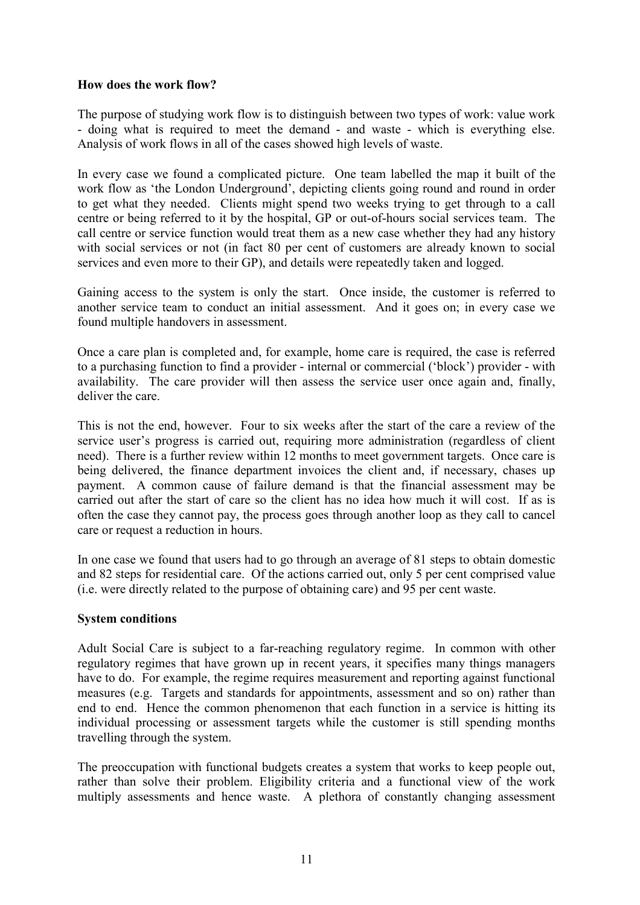#### How does the work flow?

The purpose of studying work flow is to distinguish between two types of work: value work - doing what is required to meet the demand - and waste - which is everything else. Analysis of work flows in all of the cases showed high levels of waste.

In every case we found a complicated picture. One team labelled the map it built of the work flow as 'the London Underground', depicting clients going round and round in order to get what they needed. Clients might spend two weeks trying to get through to a call centre or being referred to it by the hospital, GP or out-of-hours social services team. The call centre or service function would treat them as a new case whether they had any history with social services or not (in fact 80 per cent of customers are already known to social services and even more to their GP), and details were repeatedly taken and logged.

Gaining access to the system is only the start. Once inside, the customer is referred to another service team to conduct an initial assessment. And it goes on; in every case we found multiple handovers in assessment.

Once a care plan is completed and, for example, home care is required, the case is referred to a purchasing function to find a provider - internal or commercial ('block') provider - with availability. The care provider will then assess the service user once again and, finally, deliver the care.

This is not the end, however. Four to six weeks after the start of the care a review of the service user's progress is carried out, requiring more administration (regardless of client need). There is a further review within 12 months to meet government targets. Once care is being delivered, the finance department invoices the client and, if necessary, chases up payment. A common cause of failure demand is that the financial assessment may be carried out after the start of care so the client has no idea how much it will cost. If as is often the case they cannot pay, the process goes through another loop as they call to cancel care or request a reduction in hours.

In one case we found that users had to go through an average of 81 steps to obtain domestic and 82 steps for residential care. Of the actions carried out, only 5 per cent comprised value (i.e. were directly related to the purpose of obtaining care) and 95 per cent waste.

# System conditions

Adult Social Care is subject to a far-reaching regulatory regime. In common with other regulatory regimes that have grown up in recent years, it specifies many things managers have to do. For example, the regime requires measurement and reporting against functional measures (e.g. Targets and standards for appointments, assessment and so on) rather than end to end. Hence the common phenomenon that each function in a service is hitting its individual processing or assessment targets while the customer is still spending months travelling through the system.

The preoccupation with functional budgets creates a system that works to keep people out, rather than solve their problem. Eligibility criteria and a functional view of the work multiply assessments and hence waste. A plethora of constantly changing assessment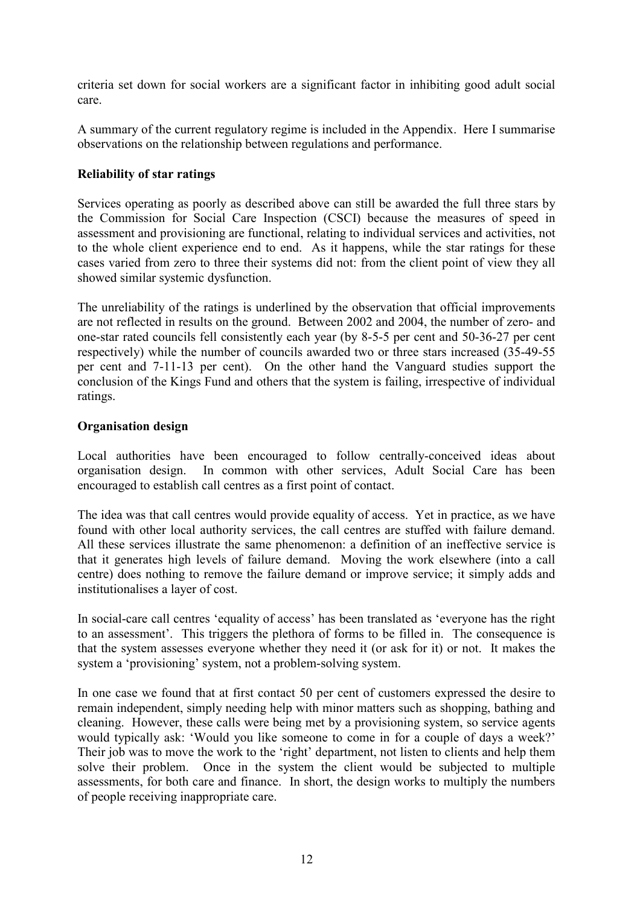criteria set down for social workers are a significant factor in inhibiting good adult social care.

A summary of the current regulatory regime is included in the Appendix. Here I summarise observations on the relationship between regulations and performance.

# Reliability of star ratings

Services operating as poorly as described above can still be awarded the full three stars by the Commission for Social Care Inspection (CSCI) because the measures of speed in assessment and provisioning are functional, relating to individual services and activities, not to the whole client experience end to end. As it happens, while the star ratings for these cases varied from zero to three their systems did not: from the client point of view they all showed similar systemic dysfunction.

The unreliability of the ratings is underlined by the observation that official improvements are not reflected in results on the ground. Between 2002 and 2004, the number of zero- and one-star rated councils fell consistently each year (by 8-5-5 per cent and 50-36-27 per cent respectively) while the number of councils awarded two or three stars increased (35-49-55 per cent and 7-11-13 per cent). On the other hand the Vanguard studies support the conclusion of the Kings Fund and others that the system is failing, irrespective of individual ratings.

#### Organisation design

Local authorities have been encouraged to follow centrally-conceived ideas about organisation design. In common with other services, Adult Social Care has been encouraged to establish call centres as a first point of contact.

The idea was that call centres would provide equality of access. Yet in practice, as we have found with other local authority services, the call centres are stuffed with failure demand. All these services illustrate the same phenomenon: a definition of an ineffective service is that it generates high levels of failure demand. Moving the work elsewhere (into a call centre) does nothing to remove the failure demand or improve service; it simply adds and institutionalises a layer of cost.

In social-care call centres 'equality of access' has been translated as 'everyone has the right to an assessment'. This triggers the plethora of forms to be filled in. The consequence is that the system assesses everyone whether they need it (or ask for it) or not. It makes the system a 'provisioning' system, not a problem-solving system.

In one case we found that at first contact 50 per cent of customers expressed the desire to remain independent, simply needing help with minor matters such as shopping, bathing and cleaning. However, these calls were being met by a provisioning system, so service agents would typically ask: 'Would you like someone to come in for a couple of days a week?' Their job was to move the work to the 'right' department, not listen to clients and help them solve their problem. Once in the system the client would be subjected to multiple assessments, for both care and finance. In short, the design works to multiply the numbers of people receiving inappropriate care.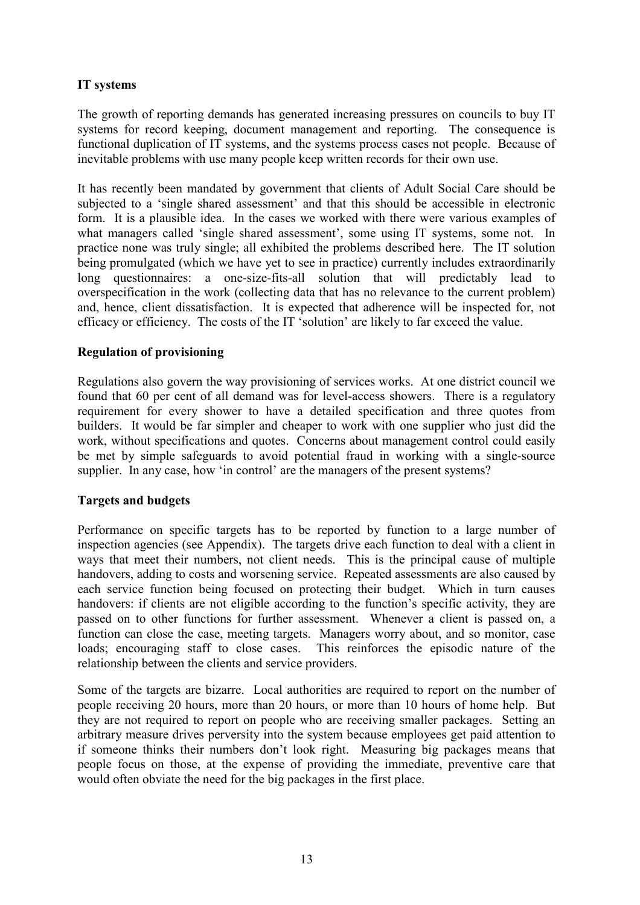# IT systems

The growth of reporting demands has generated increasing pressures on councils to buy IT systems for record keeping, document management and reporting. The consequence is functional duplication of IT systems, and the systems process cases not people. Because of inevitable problems with use many people keep written records for their own use.

It has recently been mandated by government that clients of Adult Social Care should be subjected to a 'single shared assessment' and that this should be accessible in electronic form. It is a plausible idea. In the cases we worked with there were various examples of what managers called 'single shared assessment', some using IT systems, some not. In practice none was truly single; all exhibited the problems described here. The IT solution being promulgated (which we have yet to see in practice) currently includes extraordinarily long questionnaires: a one-size-fits-all solution that will predictably lead to overspecification in the work (collecting data that has no relevance to the current problem) and, hence, client dissatisfaction. It is expected that adherence will be inspected for, not efficacy or efficiency. The costs of the IT 'solution' are likely to far exceed the value.

# Regulation of provisioning

Regulations also govern the way provisioning of services works. At one district council we found that 60 per cent of all demand was for level-access showers. There is a regulatory requirement for every shower to have a detailed specification and three quotes from builders. It would be far simpler and cheaper to work with one supplier who just did the work, without specifications and quotes. Concerns about management control could easily be met by simple safeguards to avoid potential fraud in working with a single-source supplier. In any case, how 'in control' are the managers of the present systems?

#### Targets and budgets

Performance on specific targets has to be reported by function to a large number of inspection agencies (see Appendix). The targets drive each function to deal with a client in ways that meet their numbers, not client needs. This is the principal cause of multiple handovers, adding to costs and worsening service. Repeated assessments are also caused by each service function being focused on protecting their budget. Which in turn causes handovers: if clients are not eligible according to the function's specific activity, they are passed on to other functions for further assessment. Whenever a client is passed on, a function can close the case, meeting targets. Managers worry about, and so monitor, case loads; encouraging staff to close cases. This reinforces the episodic nature of the relationship between the clients and service providers.

Some of the targets are bizarre. Local authorities are required to report on the number of people receiving 20 hours, more than 20 hours, or more than 10 hours of home help. But they are not required to report on people who are receiving smaller packages. Setting an arbitrary measure drives perversity into the system because employees get paid attention to if someone thinks their numbers don't look right. Measuring big packages means that people focus on those, at the expense of providing the immediate, preventive care that would often obviate the need for the big packages in the first place.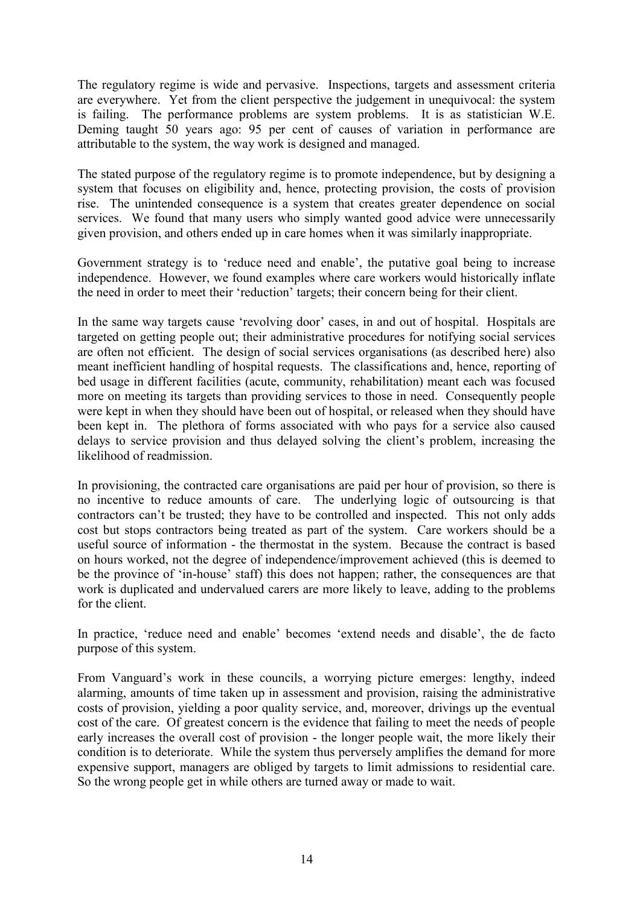The regulatory regime is wide and pervasive. Inspections, targets and assessment criteria are everywhere. Yet from the client perspective the judgement in unequivocal: the system is failing. The performance problems are system problems. It is as statistician W.E. Deming taught 50 years ago: 95 per cent of causes of variation in performance are attributable to the system, the way work is designed and managed.

The stated purpose of the regulatory regime is to promote independence, but by designing a system that focuses on eligibility and, hence, protecting provision, the costs of provision rise. The unintended consequence is a system that creates greater dependence on social services. We found that many users who simply wanted good advice were unnecessarily given provision, and others ended up in care homes when it was similarly inappropriate.

Government strategy is to 'reduce need and enable', the putative goal being to increase independence. However, we found examples where care workers would historically inflate the need in order to meet their 'reduction' targets; their concern being for their client.

In the same way targets cause 'revolving door' cases, in and out of hospital. Hospitals are targeted on getting people out; their administrative procedures for notifying social services are often not efficient. The design of social services organisations (as described here) also meant inefficient handling of hospital requests. The classifications and, hence, reporting of bed usage in different facilities (acute, community, rehabilitation) meant each was focused more on meeting its targets than providing services to those in need. Consequently people were kept in when they should have been out of hospital, or released when they should have been kept in. The plethora of forms associated with who pays for a service also caused delays to service provision and thus delayed solving the client's problem, increasing the likelihood of readmission.

In provisioning, the contracted care organisations are paid per hour of provision, so there is no incentive to reduce amounts of care. The underlying logic of outsourcing is that contractors can't be trusted; they have to be controlled and inspected. This not only adds cost but stops contractors being treated as part of the system. Care workers should be a useful source of information - the thermostat in the system. Because the contract is based on hours worked, not the degree of independence/improvement achieved (this is deemed to be the province of 'in-house' staff) this does not happen; rather, the consequences are that work is duplicated and undervalued carers are more likely to leave, adding to the problems for the client.

In practice, 'reduce need and enable' becomes 'extend needs and disable', the de facto purpose of this system.

From Vanguard's work in these councils, a worrying picture emerges: lengthy, indeed alarming, amounts of time taken up in assessment and provision, raising the administrative costs of provision, yielding a poor quality service, and, moreover, drivings up the eventual cost of the care. Of greatest concern is the evidence that failing to meet the needs of people early increases the overall cost of provision - the longer people wait, the more likely their condition is to deteriorate. While the system thus perversely amplifies the demand for more expensive support, managers are obliged by targets to limit admissions to residential care. So the wrong people get in while others are turned away or made to wait.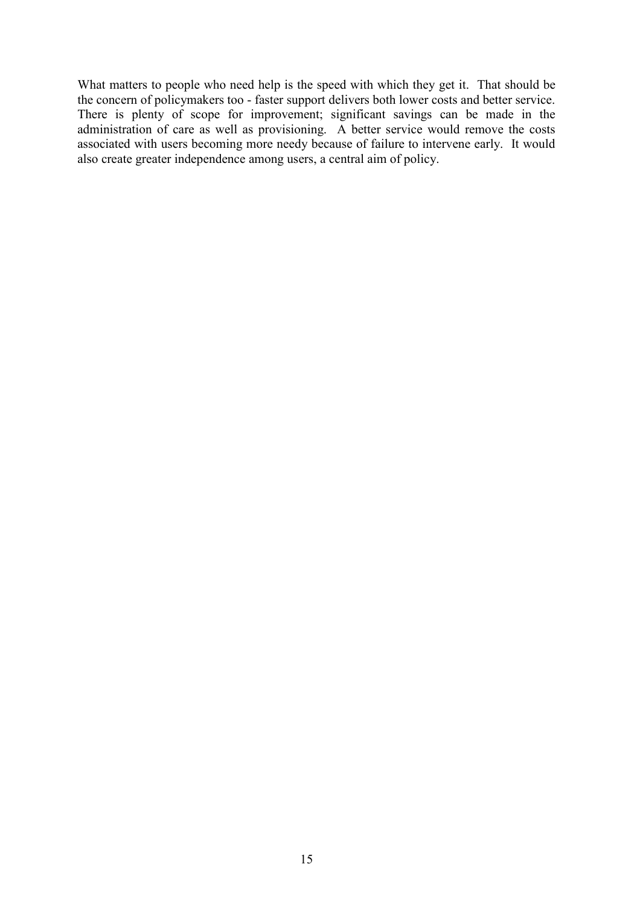What matters to people who need help is the speed with which they get it. That should be the concern of policymakers too - faster support delivers both lower costs and better service. There is plenty of scope for improvement; significant savings can be made in the administration of care as well as provisioning. A better service would remove the costs associated with users becoming more needy because of failure to intervene early. It would also create greater independence among users, a central aim of policy.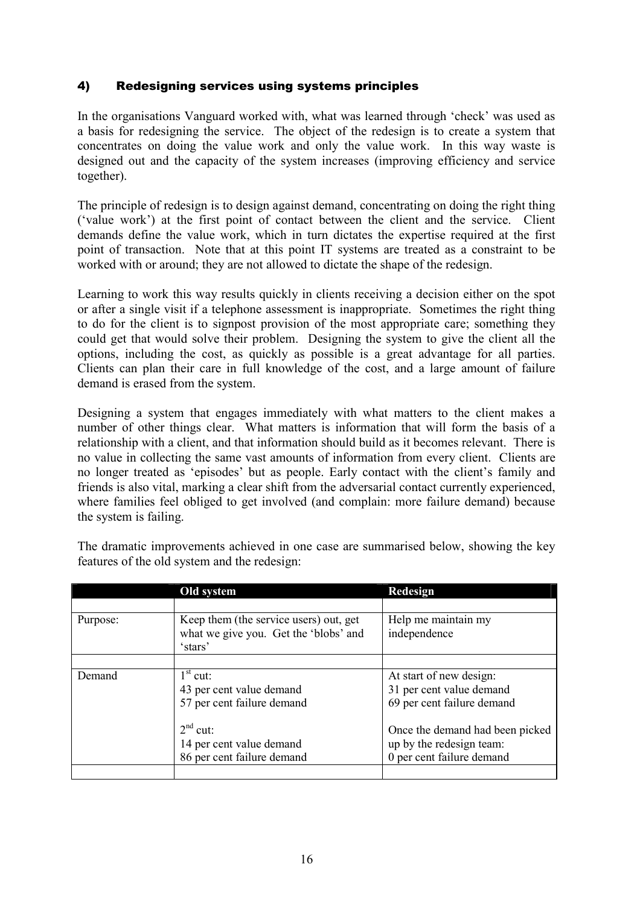# 4) Redesigning services using systems principles

In the organisations Vanguard worked with, what was learned through 'check' was used as a basis for redesigning the service. The object of the redesign is to create a system that concentrates on doing the value work and only the value work. In this way waste is designed out and the capacity of the system increases (improving efficiency and service together).

The principle of redesign is to design against demand, concentrating on doing the right thing ('value work') at the first point of contact between the client and the service. Client demands define the value work, which in turn dictates the expertise required at the first point of transaction. Note that at this point IT systems are treated as a constraint to be worked with or around; they are not allowed to dictate the shape of the redesign.

Learning to work this way results quickly in clients receiving a decision either on the spot or after a single visit if a telephone assessment is inappropriate. Sometimes the right thing to do for the client is to signpost provision of the most appropriate care; something they could get that would solve their problem. Designing the system to give the client all the options, including the cost, as quickly as possible is a great advantage for all parties. Clients can plan their care in full knowledge of the cost, and a large amount of failure demand is erased from the system.

Designing a system that engages immediately with what matters to the client makes a number of other things clear. What matters is information that will form the basis of a relationship with a client, and that information should build as it becomes relevant. There is no value in collecting the same vast amounts of information from every client. Clients are no longer treated as 'episodes' but as people. Early contact with the client's family and friends is also vital, marking a clear shift from the adversarial contact currently experienced, where families feel obliged to get involved (and complain: more failure demand) because the system is failing.

|          | Old system                                                                                 | <b>Redesign</b>                                                                          |
|----------|--------------------------------------------------------------------------------------------|------------------------------------------------------------------------------------------|
|          |                                                                                            |                                                                                          |
| Purpose: | Keep them (the service users) out, get<br>what we give you. Get the 'blobs' and<br>'stars' | Help me maintain my<br>independence                                                      |
|          |                                                                                            |                                                                                          |
| Demand   | $1st$ cut:<br>43 per cent value demand<br>57 per cent failure demand                       | At start of new design:<br>31 per cent value demand<br>69 per cent failure demand        |
|          | $2nd$ cut:<br>14 per cent value demand<br>86 per cent failure demand                       | Once the demand had been picked<br>up by the redesign team:<br>0 per cent failure demand |
|          |                                                                                            |                                                                                          |

The dramatic improvements achieved in one case are summarised below, showing the key features of the old system and the redesign: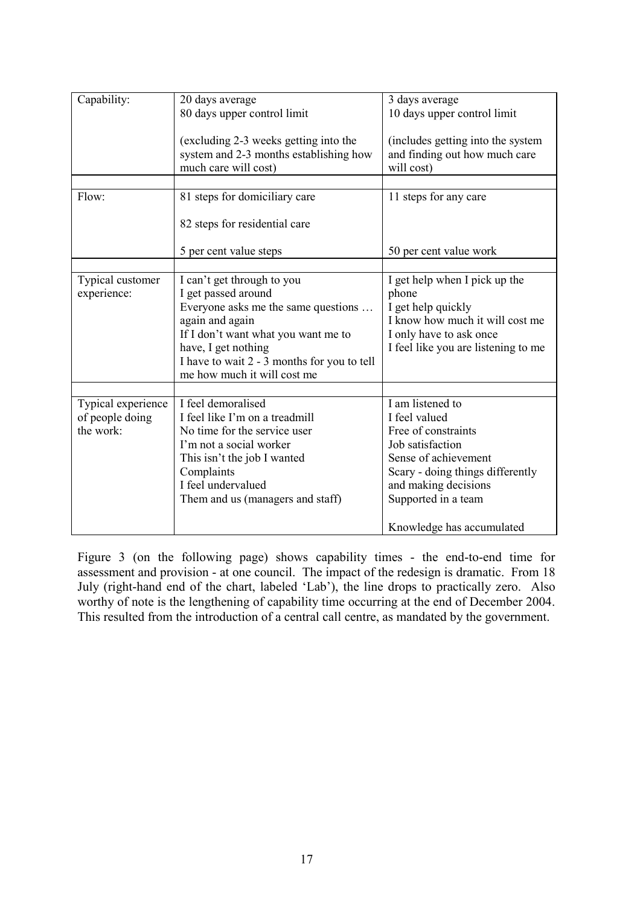| Capability:        | 20 days average                             | 3 days average                      |
|--------------------|---------------------------------------------|-------------------------------------|
|                    | 80 days upper control limit                 | 10 days upper control limit         |
|                    |                                             |                                     |
|                    | (excluding 2-3 weeks getting into the       | (includes getting into the system   |
|                    |                                             |                                     |
|                    | system and 2-3 months establishing how      | and finding out how much care       |
|                    | much care will cost)                        | will cost)                          |
|                    |                                             |                                     |
| Flow:              | 81 steps for domiciliary care               | 11 steps for any care               |
|                    |                                             |                                     |
|                    | 82 steps for residential care               |                                     |
|                    |                                             |                                     |
|                    | 5 per cent value steps                      | 50 per cent value work              |
|                    |                                             |                                     |
|                    |                                             |                                     |
| Typical customer   | I can't get through to you                  | I get help when I pick up the       |
| experience:        | I get passed around                         | phone                               |
|                    | Everyone asks me the same questions         | I get help quickly                  |
|                    | again and again                             | I know how much it will cost me     |
|                    | If I don't want what you want me to         | I only have to ask once             |
|                    | have, I get nothing                         | I feel like you are listening to me |
|                    | I have to wait 2 - 3 months for you to tell |                                     |
|                    | me how much it will cost me                 |                                     |
|                    |                                             |                                     |
| Typical experience | I feel demoralised                          | I am listened to                    |
| of people doing    | I feel like I'm on a treadmill              | I feel valued                       |
|                    |                                             |                                     |
| the work:          | No time for the service user                | Free of constraints                 |
|                    | I'm not a social worker                     | Job satisfaction                    |
|                    | This isn't the job I wanted                 | Sense of achievement                |
|                    | Complaints                                  | Scary - doing things differently    |
|                    | I feel undervalued                          | and making decisions                |
|                    | Them and us (managers and staff)            | Supported in a team                 |
|                    |                                             |                                     |
|                    |                                             | Knowledge has accumulated           |

Figure 3 (on the following page) shows capability times - the end-to-end time for assessment and provision - at one council. The impact of the redesign is dramatic. From 18 July (right-hand end of the chart, labeled 'Lab'), the line drops to practically zero. Also worthy of note is the lengthening of capability time occurring at the end of December 2004. This resulted from the introduction of a central call centre, as mandated by the government.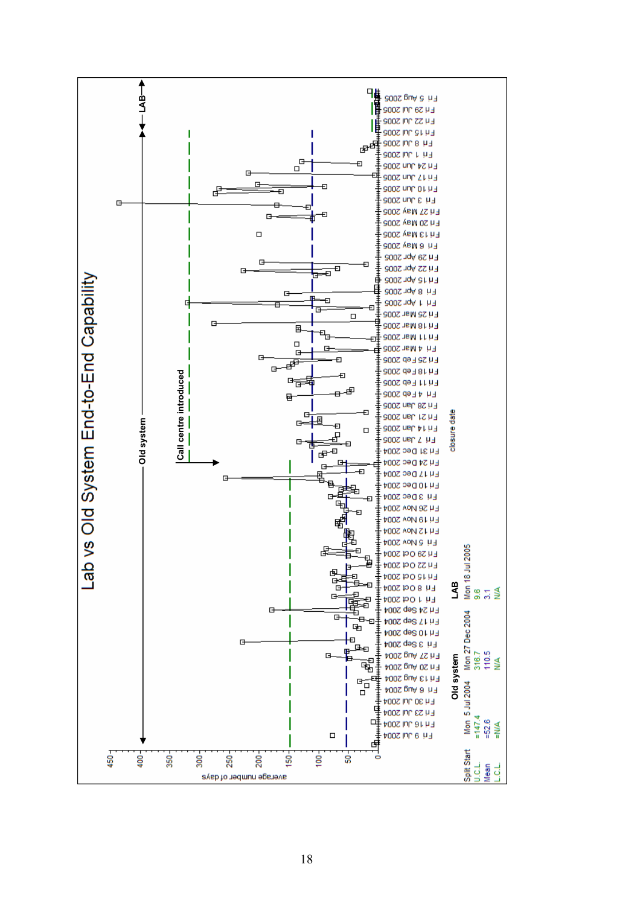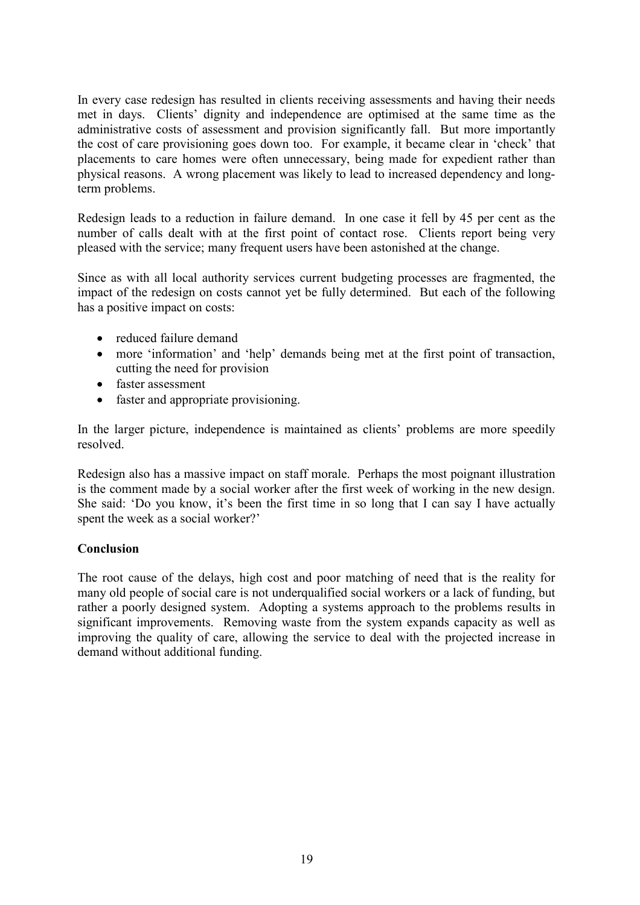In every case redesign has resulted in clients receiving assessments and having their needs met in days. Clients' dignity and independence are optimised at the same time as the administrative costs of assessment and provision significantly fall. But more importantly the cost of care provisioning goes down too. For example, it became clear in 'check' that placements to care homes were often unnecessary, being made for expedient rather than physical reasons. A wrong placement was likely to lead to increased dependency and longterm problems.

Redesign leads to a reduction in failure demand. In one case it fell by 45 per cent as the number of calls dealt with at the first point of contact rose. Clients report being very pleased with the service; many frequent users have been astonished at the change.

Since as with all local authority services current budgeting processes are fragmented, the impact of the redesign on costs cannot yet be fully determined. But each of the following has a positive impact on costs:

- reduced failure demand
- more 'information' and 'help' demands being met at the first point of transaction, cutting the need for provision
- faster assessment
- faster and appropriate provisioning.

In the larger picture, independence is maintained as clients' problems are more speedily resolved.

Redesign also has a massive impact on staff morale. Perhaps the most poignant illustration is the comment made by a social worker after the first week of working in the new design. She said: 'Do you know, it's been the first time in so long that I can say I have actually spent the week as a social worker?'

# **Conclusion**

The root cause of the delays, high cost and poor matching of need that is the reality for many old people of social care is not underqualified social workers or a lack of funding, but rather a poorly designed system. Adopting a systems approach to the problems results in significant improvements. Removing waste from the system expands capacity as well as improving the quality of care, allowing the service to deal with the projected increase in demand without additional funding.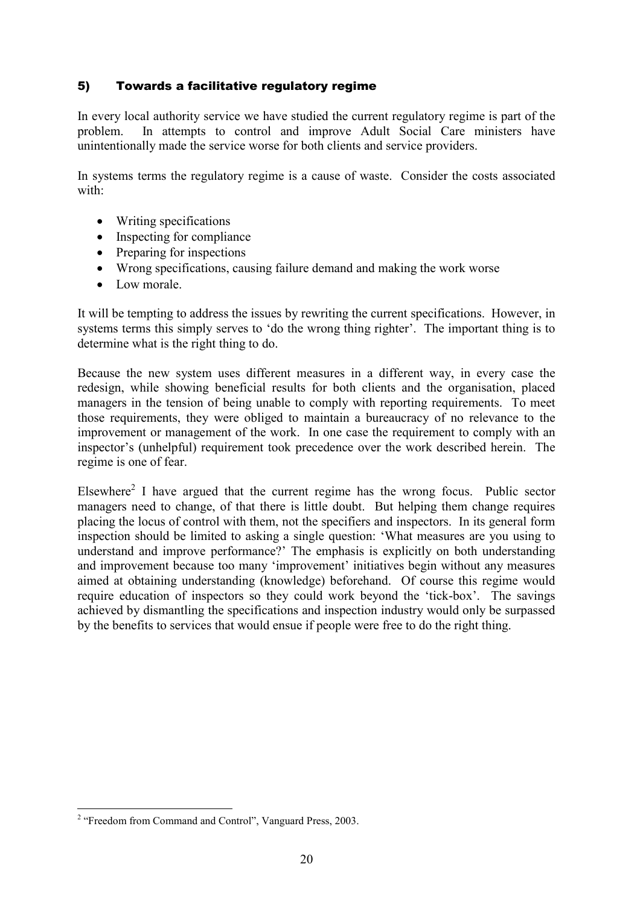# 5) Towards a facilitative regulatory regime

In every local authority service we have studied the current regulatory regime is part of the problem. In attempts to control and improve Adult Social Care ministers have unintentionally made the service worse for both clients and service providers.

In systems terms the regulatory regime is a cause of waste. Consider the costs associated with:

- Writing specifications
- Inspecting for compliance
- Preparing for inspections
- Wrong specifications, causing failure demand and making the work worse
- Low morale

It will be tempting to address the issues by rewriting the current specifications. However, in systems terms this simply serves to 'do the wrong thing righter'. The important thing is to determine what is the right thing to do.

Because the new system uses different measures in a different way, in every case the redesign, while showing beneficial results for both clients and the organisation, placed managers in the tension of being unable to comply with reporting requirements. To meet those requirements, they were obliged to maintain a bureaucracy of no relevance to the improvement or management of the work. In one case the requirement to comply with an inspector's (unhelpful) requirement took precedence over the work described herein. The regime is one of fear.

Elsewhere<sup>2</sup> I have argued that the current regime has the wrong focus. Public sector managers need to change, of that there is little doubt. But helping them change requires placing the locus of control with them, not the specifiers and inspectors. In its general form inspection should be limited to asking a single question: 'What measures are you using to understand and improve performance?' The emphasis is explicitly on both understanding and improvement because too many 'improvement' initiatives begin without any measures aimed at obtaining understanding (knowledge) beforehand. Of course this regime would require education of inspectors so they could work beyond the 'tick-box'. The savings achieved by dismantling the specifications and inspection industry would only be surpassed by the benefits to services that would ensue if people were free to do the right thing.

<sup>&</sup>lt;sup>2</sup> "Freedom from Command and Control", Vanguard Press, 2003.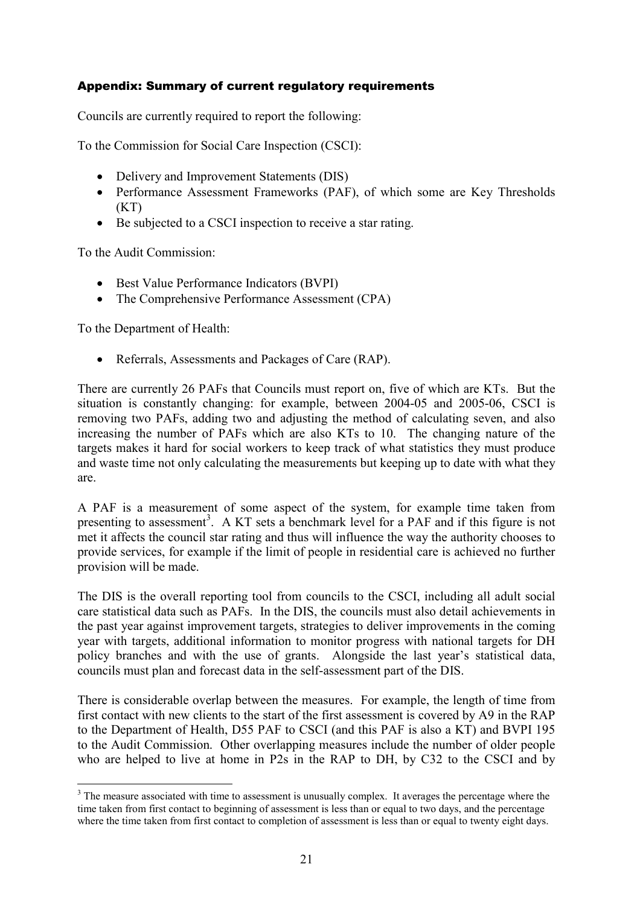# Appendix: Summary of current regulatory requirements

Councils are currently required to report the following:

To the Commission for Social Care Inspection (CSCI):

- Delivery and Improvement Statements (DIS)
- Performance Assessment Frameworks (PAF), of which some are Key Thresholds  $(KT)$
- Be subjected to a CSCI inspection to receive a star rating.

To the Audit Commission:

- Best Value Performance Indicators (BVPI)
- The Comprehensive Performance Assessment (CPA)

To the Department of Health:

 $\overline{a}$ 

• Referrals, Assessments and Packages of Care (RAP).

There are currently 26 PAFs that Councils must report on, five of which are KTs. But the situation is constantly changing: for example, between 2004-05 and 2005-06, CSCI is removing two PAFs, adding two and adjusting the method of calculating seven, and also increasing the number of PAFs which are also KTs to 10. The changing nature of the targets makes it hard for social workers to keep track of what statistics they must produce and waste time not only calculating the measurements but keeping up to date with what they are.

A PAF is a measurement of some aspect of the system, for example time taken from presenting to assessment<sup>3</sup>. A KT sets a benchmark level for a PAF and if this figure is not met it affects the council star rating and thus will influence the way the authority chooses to provide services, for example if the limit of people in residential care is achieved no further provision will be made.

The DIS is the overall reporting tool from councils to the CSCI, including all adult social care statistical data such as PAFs. In the DIS, the councils must also detail achievements in the past year against improvement targets, strategies to deliver improvements in the coming year with targets, additional information to monitor progress with national targets for DH policy branches and with the use of grants. Alongside the last year's statistical data, councils must plan and forecast data in the self-assessment part of the DIS.

There is considerable overlap between the measures. For example, the length of time from first contact with new clients to the start of the first assessment is covered by A9 in the RAP to the Department of Health, D55 PAF to CSCI (and this PAF is also a KT) and BVPI 195 to the Audit Commission. Other overlapping measures include the number of older people who are helped to live at home in P2s in the RAP to DH, by C32 to the CSCI and by

<sup>&</sup>lt;sup>3</sup> The measure associated with time to assessment is unusually complex. It averages the percentage where the time taken from first contact to beginning of assessment is less than or equal to two days, and the percentage where the time taken from first contact to completion of assessment is less than or equal to twenty eight days.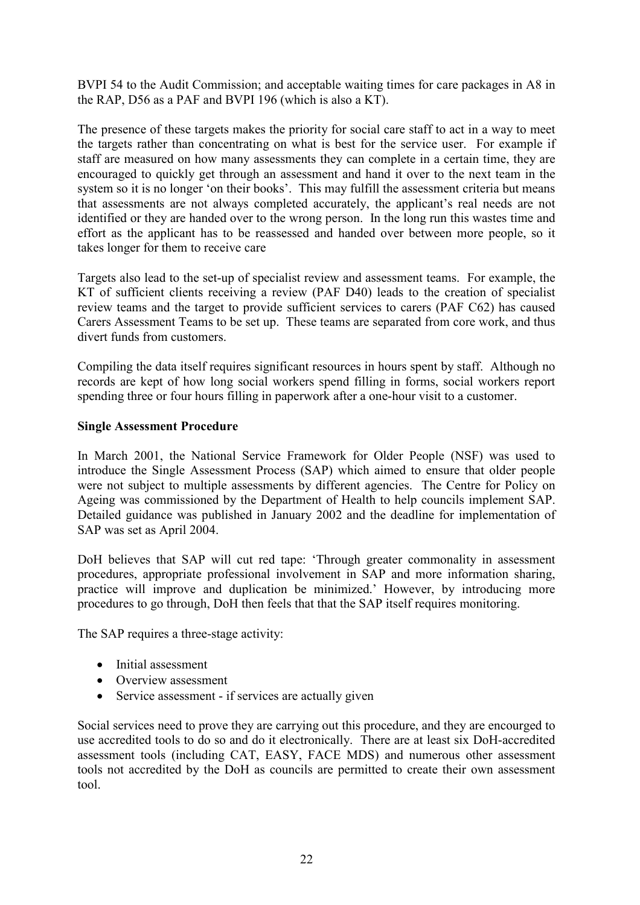BVPI 54 to the Audit Commission; and acceptable waiting times for care packages in A8 in the RAP, D56 as a PAF and BVPI 196 (which is also a KT).

The presence of these targets makes the priority for social care staff to act in a way to meet the targets rather than concentrating on what is best for the service user. For example if staff are measured on how many assessments they can complete in a certain time, they are encouraged to quickly get through an assessment and hand it over to the next team in the system so it is no longer 'on their books'. This may fulfill the assessment criteria but means that assessments are not always completed accurately, the applicant's real needs are not identified or they are handed over to the wrong person. In the long run this wastes time and effort as the applicant has to be reassessed and handed over between more people, so it takes longer for them to receive care

Targets also lead to the set-up of specialist review and assessment teams. For example, the KT of sufficient clients receiving a review (PAF D40) leads to the creation of specialist review teams and the target to provide sufficient services to carers (PAF C62) has caused Carers Assessment Teams to be set up. These teams are separated from core work, and thus divert funds from customers.

Compiling the data itself requires significant resources in hours spent by staff. Although no records are kept of how long social workers spend filling in forms, social workers report spending three or four hours filling in paperwork after a one-hour visit to a customer.

#### Single Assessment Procedure

In March 2001, the National Service Framework for Older People (NSF) was used to introduce the Single Assessment Process (SAP) which aimed to ensure that older people were not subject to multiple assessments by different agencies. The Centre for Policy on Ageing was commissioned by the Department of Health to help councils implement SAP. Detailed guidance was published in January 2002 and the deadline for implementation of SAP was set as April 2004.

DoH believes that SAP will cut red tape: 'Through greater commonality in assessment procedures, appropriate professional involvement in SAP and more information sharing, practice will improve and duplication be minimized.' However, by introducing more procedures to go through, DoH then feels that that the SAP itself requires monitoring.

The SAP requires a three-stage activity:

- Initial assessment
- Overview assessment
- Service assessment if services are actually given

Social services need to prove they are carrying out this procedure, and they are encourged to use accredited tools to do so and do it electronically. There are at least six DoH-accredited assessment tools (including CAT, EASY, FACE MDS) and numerous other assessment tools not accredited by the DoH as councils are permitted to create their own assessment tool.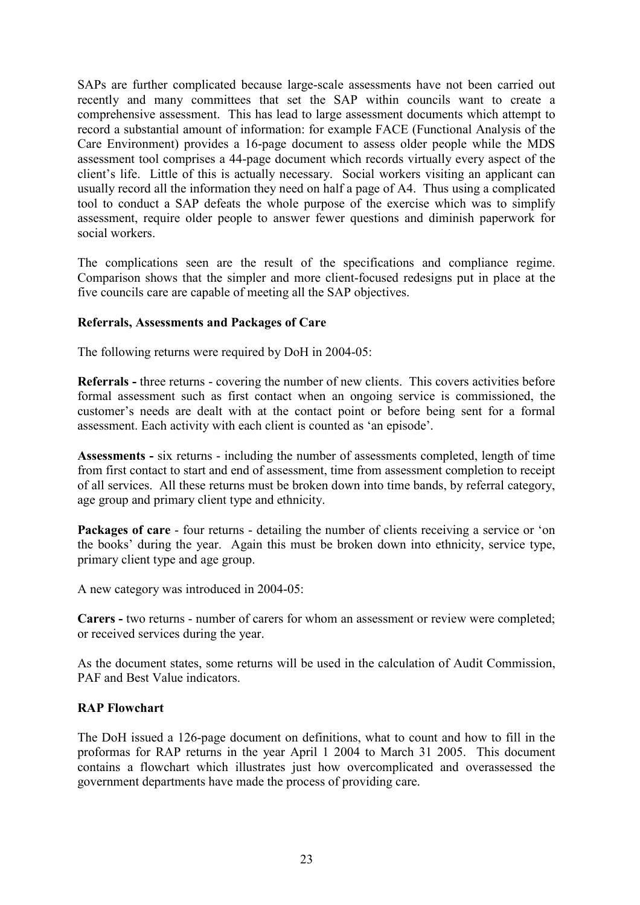SAPs are further complicated because large-scale assessments have not been carried out recently and many committees that set the SAP within councils want to create a comprehensive assessment. This has lead to large assessment documents which attempt to record a substantial amount of information: for example FACE (Functional Analysis of the Care Environment) provides a 16-page document to assess older people while the MDS assessment tool comprises a 44-page document which records virtually every aspect of the client's life. Little of this is actually necessary. Social workers visiting an applicant can usually record all the information they need on half a page of A4. Thus using a complicated tool to conduct a SAP defeats the whole purpose of the exercise which was to simplify assessment, require older people to answer fewer questions and diminish paperwork for social workers.

The complications seen are the result of the specifications and compliance regime. Comparison shows that the simpler and more client-focused redesigns put in place at the five councils care are capable of meeting all the SAP objectives.

#### Referrals, Assessments and Packages of Care

The following returns were required by DoH in 2004-05:

Referrals - three returns - covering the number of new clients. This covers activities before formal assessment such as first contact when an ongoing service is commissioned, the customer's needs are dealt with at the contact point or before being sent for a formal assessment. Each activity with each client is counted as 'an episode'.

Assessments - six returns - including the number of assessments completed, length of time from first contact to start and end of assessment, time from assessment completion to receipt of all services. All these returns must be broken down into time bands, by referral category, age group and primary client type and ethnicity.

Packages of care - four returns - detailing the number of clients receiving a service or 'on the books' during the year. Again this must be broken down into ethnicity, service type, primary client type and age group.

A new category was introduced in 2004-05:

Carers - two returns - number of carers for whom an assessment or review were completed; or received services during the year.

As the document states, some returns will be used in the calculation of Audit Commission, PAF and Best Value indicators.

#### RAP Flowchart

The DoH issued a 126-page document on definitions, what to count and how to fill in the proformas for RAP returns in the year April 1 2004 to March 31 2005. This document contains a flowchart which illustrates just how overcomplicated and overassessed the government departments have made the process of providing care.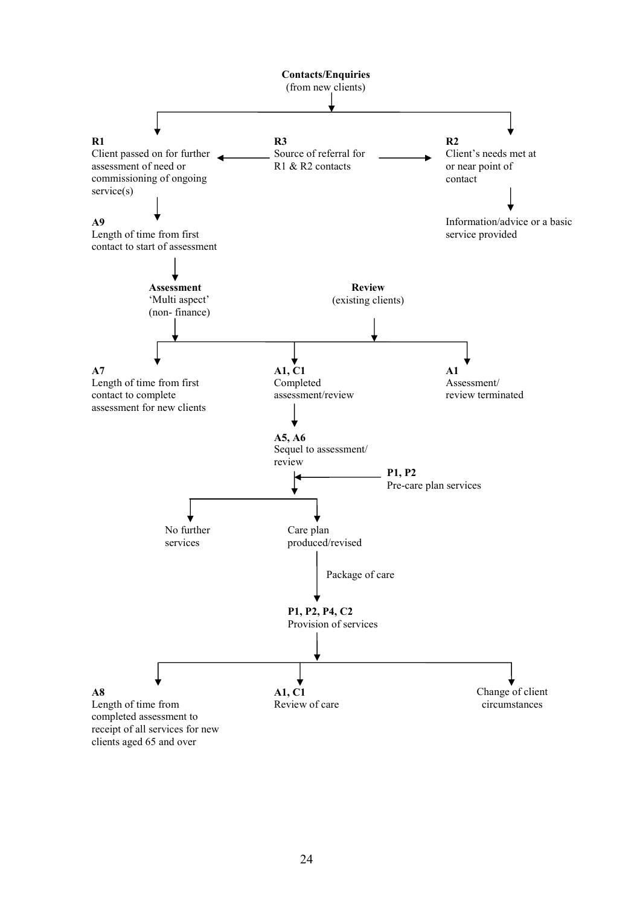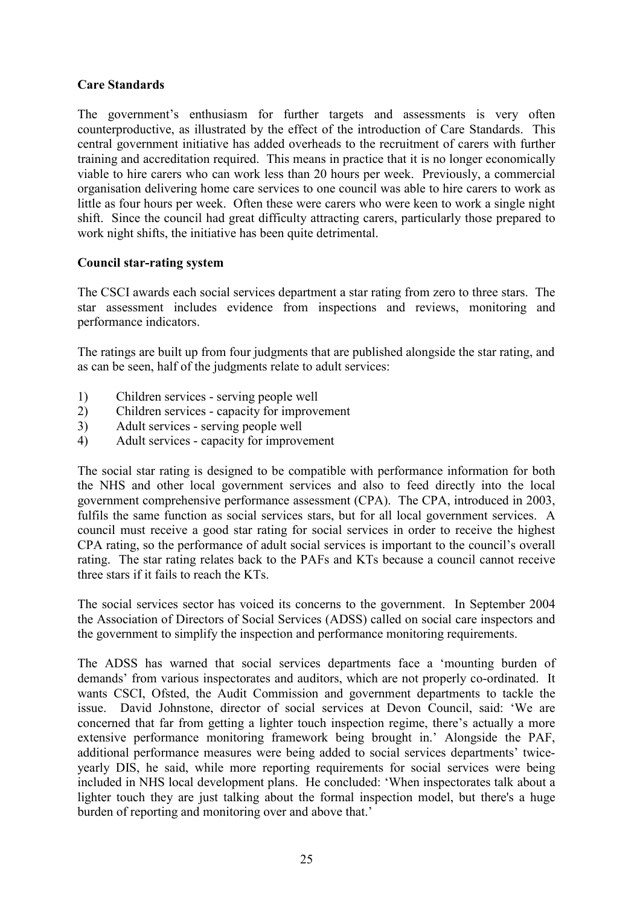# Care Standards

The government's enthusiasm for further targets and assessments is very often counterproductive, as illustrated by the effect of the introduction of Care Standards. This central government initiative has added overheads to the recruitment of carers with further training and accreditation required. This means in practice that it is no longer economically viable to hire carers who can work less than 20 hours per week. Previously, a commercial organisation delivering home care services to one council was able to hire carers to work as little as four hours per week. Often these were carers who were keen to work a single night shift. Since the council had great difficulty attracting carers, particularly those prepared to work night shifts, the initiative has been quite detrimental.

# Council star-rating system

The CSCI awards each social services department a star rating from zero to three stars. The star assessment includes evidence from inspections and reviews, monitoring and performance indicators.

The ratings are built up from four judgments that are published alongside the star rating, and as can be seen, half of the judgments relate to adult services:

- 1) Children services serving people well
- 2) Children services capacity for improvement
- 3) Adult services serving people well
- 4) Adult services capacity for improvement

The social star rating is designed to be compatible with performance information for both the NHS and other local government services and also to feed directly into the local government comprehensive performance assessment (CPA). The CPA, introduced in 2003, fulfils the same function as social services stars, but for all local government services. A council must receive a good star rating for social services in order to receive the highest CPA rating, so the performance of adult social services is important to the council's overall rating. The star rating relates back to the PAFs and KTs because a council cannot receive three stars if it fails to reach the KTs.

The social services sector has voiced its concerns to the government. In September 2004 the Association of Directors of Social Services (ADSS) called on social care inspectors and the government to simplify the inspection and performance monitoring requirements.

The ADSS has warned that social services departments face a 'mounting burden of demands' from various inspectorates and auditors, which are not properly co-ordinated. It wants CSCI, Ofsted, the Audit Commission and government departments to tackle the issue. David Johnstone, director of social services at Devon Council, said: 'We are concerned that far from getting a lighter touch inspection regime, there's actually a more extensive performance monitoring framework being brought in.' Alongside the PAF, additional performance measures were being added to social services departments' twiceyearly DIS, he said, while more reporting requirements for social services were being included in NHS local development plans. He concluded: 'When inspectorates talk about a lighter touch they are just talking about the formal inspection model, but there's a huge burden of reporting and monitoring over and above that.'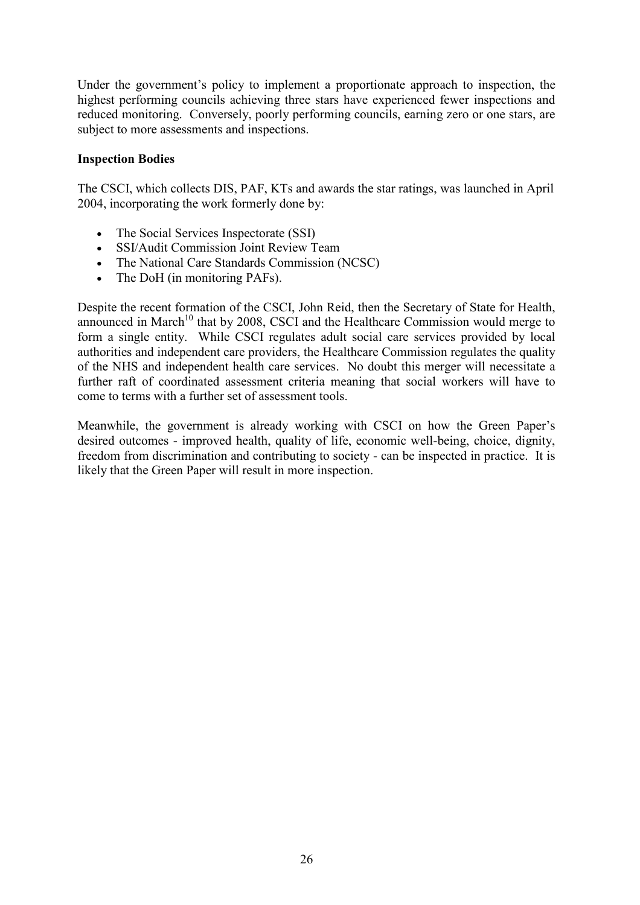Under the government's policy to implement a proportionate approach to inspection, the highest performing councils achieving three stars have experienced fewer inspections and reduced monitoring. Conversely, poorly performing councils, earning zero or one stars, are subject to more assessments and inspections.

# Inspection Bodies

The CSCI, which collects DIS, PAF, KTs and awards the star ratings, was launched in April 2004, incorporating the work formerly done by:

- The Social Services Inspectorate (SSI)
- SSI/Audit Commission Joint Review Team
- The National Care Standards Commission (NCSC)
- The DoH (in monitoring PAFs).

Despite the recent formation of the CSCI, John Reid, then the Secretary of State for Health, announced in March<sup>10</sup> that by 2008, CSCI and the Healthcare Commission would merge to form a single entity. While CSCI regulates adult social care services provided by local authorities and independent care providers, the Healthcare Commission regulates the quality of the NHS and independent health care services. No doubt this merger will necessitate a further raft of coordinated assessment criteria meaning that social workers will have to come to terms with a further set of assessment tools.

Meanwhile, the government is already working with CSCI on how the Green Paper's desired outcomes - improved health, quality of life, economic well-being, choice, dignity, freedom from discrimination and contributing to society - can be inspected in practice. It is likely that the Green Paper will result in more inspection.